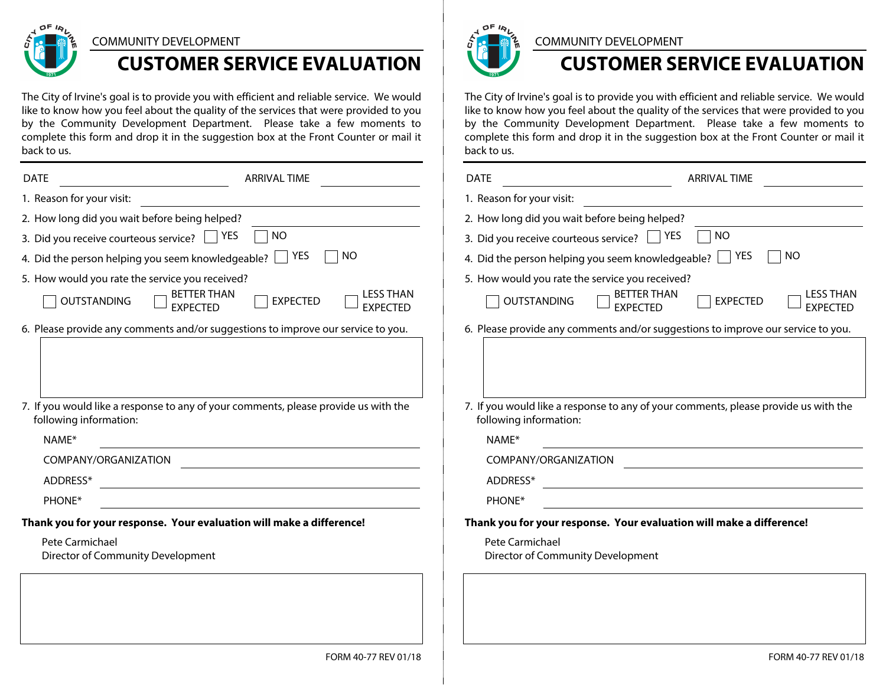

#### COMMUNITY DEVELOPMENT

# **CUSTOMER SERVICE EVALUATION**

The City of Irvine's goal is to provide you with efficient and reliable service. We would like to know how you feel about the quality of the services that were provided to you by the Community Development Department. Please take a few moments to complete this form and drop it in the suggestion box at the Front Counter or mail it back to us.

| <b>DATE</b>                                                                                                   | <b>ARRIVAL TIME</b>                                                                             | <b>DATE</b>                                                                                                   | <b>ARRIVAL TIME</b>                                                                             |
|---------------------------------------------------------------------------------------------------------------|-------------------------------------------------------------------------------------------------|---------------------------------------------------------------------------------------------------------------|-------------------------------------------------------------------------------------------------|
| 1. Reason for your visit:                                                                                     |                                                                                                 | 1. Reason for your visit:                                                                                     |                                                                                                 |
| 2. How long did you wait before being helped?                                                                 |                                                                                                 | 2. How long did you wait before being helped?                                                                 |                                                                                                 |
| ] NO<br>3. Did you receive courteous service? Signal YES                                                      |                                                                                                 | 3. Did you receive courteous service?                                                                         | $\Box$ NO<br>YES                                                                                |
| $\sqcap$ NO<br>4. Did the person helping you seem knowledgeable? $\Box$ YES                                   |                                                                                                 | <b>NO</b><br>4. Did the person helping you seem knowledgeable? $\Box$ YES                                     |                                                                                                 |
| 5. How would you rate the service you received?                                                               |                                                                                                 | 5. How would you rate the service you received?                                                               |                                                                                                 |
| OUTSTANDING                                                                                                   | <b>LESS THAN</b><br><b>BETTER THAN</b><br><b>EXPECTED</b><br><b>EXPECTED</b><br><b>EXPECTED</b> | <b>OUTSTANDING</b>                                                                                            | <b>LESS THAN</b><br><b>BETTER THAN</b><br><b>EXPECTED</b><br><b>EXPECTED</b><br><b>EXPECTED</b> |
| 6. Please provide any comments and/or suggestions to improve our service to you.                              |                                                                                                 |                                                                                                               | 6. Please provide any comments and/or suggestions to improve our service to you.                |
|                                                                                                               |                                                                                                 |                                                                                                               |                                                                                                 |
|                                                                                                               |                                                                                                 |                                                                                                               |                                                                                                 |
| 7. If you would like a response to any of your comments, please provide us with the<br>following information: |                                                                                                 | 7. If you would like a response to any of your comments, please provide us with the<br>following information: |                                                                                                 |
| NAME*                                                                                                         |                                                                                                 | NAME*                                                                                                         |                                                                                                 |
| COMPANY/ORGANIZATION                                                                                          |                                                                                                 | COMPANY/ORGANIZATION                                                                                          |                                                                                                 |
| ADDRESS*                                                                                                      |                                                                                                 | ADDRESS*                                                                                                      |                                                                                                 |
| PHONE*                                                                                                        |                                                                                                 | PHONE*                                                                                                        |                                                                                                 |
| Thank you for your response. Your evaluation will make a difference!                                          |                                                                                                 | Thank you for your response. Your evaluation will make a difference!                                          |                                                                                                 |
| Pete Carmichael<br>Director of Community Development                                                          |                                                                                                 | Pete Carmichael<br>Director of Community Development                                                          |                                                                                                 |
|                                                                                                               |                                                                                                 |                                                                                                               |                                                                                                 |
|                                                                                                               | FORM 40-77 REV 01/18                                                                            |                                                                                                               | FORM 40-77 REV 01/1                                                                             |



### COMMUNITY DEVELOPMENT

## **CUSTOMER SERVICE EVALUATION**

FORM 40-77 REV 01/18

The City of Irvine's goal is to provide you with efficient and reliable service. We would like to know how you feel about the quality of the services that were provided to you by the Community Development Department. Please take a few moments to complete this form and drop it in the suggestion box at the Front Counter or mail it back to us.